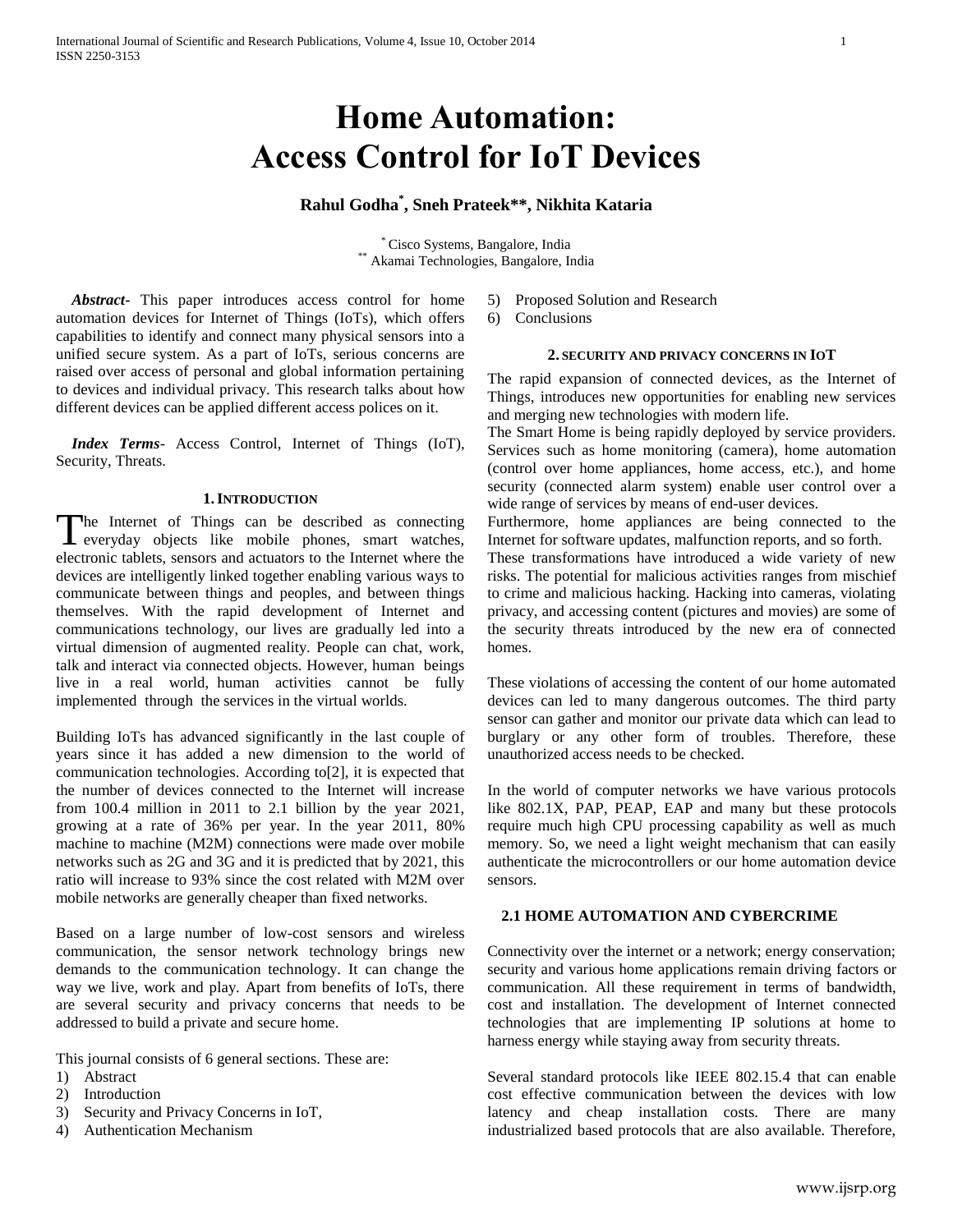# **Home Automation: Access Control for IoT Devices**

# **Rahul Godha\* , Sneh Prateek\*\*, Nikhita Kataria**

\* Cisco Systems, Bangalore, India \*\* Akamai Technologies, Bangalore, India

 *Abstract***-** This paper introduces access control for home automation devices for Internet of Things (IoTs), which offers capabilities to identify and connect many physical sensors into a unified secure system. As a part of IoTs, serious concerns are raised over access of personal and global information pertaining to devices and individual privacy. This research talks about how different devices can be applied different access polices on it.

 *Index Terms*- Access Control, Internet of Things (IoT), Security, Threats.

## **1.INTRODUCTION**

The Internet of Things can be described as connecting<br>everyday objects like mobile phones, smart watches, everyday objects like mobile phones, smart watches, electronic tablets, sensors and actuators to the Internet where the devices are intelligently linked together enabling various ways to communicate between things and peoples, and between things themselves. With the rapid development of Internet and communications technology, our lives are gradually led into a virtual dimension of augmented reality. People can chat, work, talk and interact via connected objects. However, human beings live in a real world, human activities cannot be fully implemented through the services in the virtual worlds.

Building IoTs has advanced significantly in the last couple of years since it has added a new dimension to the world of communication technologies. According to[2], it is expected that the number of devices connected to the Internet will increase from 100.4 million in 2011 to 2.1 billion by the year 2021, growing at a rate of 36% per year. In the year 2011, 80% machine to machine (M2M) connections were made over mobile networks such as 2G and 3G and it is predicted that by 2021, this ratio will increase to 93% since the cost related with M2M over mobile networks are generally cheaper than fixed networks.

Based on a large number of low-cost sensors and wireless communication, the sensor network technology brings new demands to the communication technology. It can change the way we live, work and play. Apart from benefits of IoTs, there are several security and privacy concerns that needs to be addressed to build a private and secure home.

This journal consists of 6 general sections. These are:

- 1) Abstract
- 2) Introduction
- 3) Security and Privacy Concerns in IoT,
- 4) Authentication Mechanism
- 5) Proposed Solution and Research
- 6) Conclusions

### **2. SECURITY AND PRIVACY CONCERNS IN IOT**

The rapid expansion of connected devices, as the Internet of Things, introduces new opportunities for enabling new services and merging new technologies with modern life.

The Smart Home is being rapidly deployed by service providers. Services such as home monitoring (camera), home automation (control over home appliances, home access, etc.), and home security (connected alarm system) enable user control over a wide range of services by means of end-user devices.

Furthermore, home appliances are being connected to the Internet for software updates, malfunction reports, and so forth.

These transformations have introduced a wide variety of new risks. The potential for malicious activities ranges from mischief to crime and malicious hacking. Hacking into cameras, violating privacy, and accessing content (pictures and movies) are some of the security threats introduced by the new era of connected homes.

These violations of accessing the content of our home automated devices can led to many dangerous outcomes. The third party sensor can gather and monitor our private data which can lead to burglary or any other form of troubles. Therefore, these unauthorized access needs to be checked.

In the world of computer networks we have various protocols like 802.1X, PAP, PEAP, EAP and many but these protocols require much high CPU processing capability as well as much memory. So, we need a light weight mechanism that can easily authenticate the microcontrollers or our home automation device sensors.

## **2.1 HOME AUTOMATION AND CYBERCRIME**

Connectivity over the internet or a network; energy conservation; security and various home applications remain driving factors or communication. All these requirement in terms of bandwidth, cost and installation. The development of Internet connected technologies that are implementing IP solutions at home to harness energy while staying away from security threats.

Several standard protocols like IEEE 802.15.4 that can enable cost effective communication between the devices with low latency and cheap installation costs. There are many industrialized based protocols that are also available. Therefore,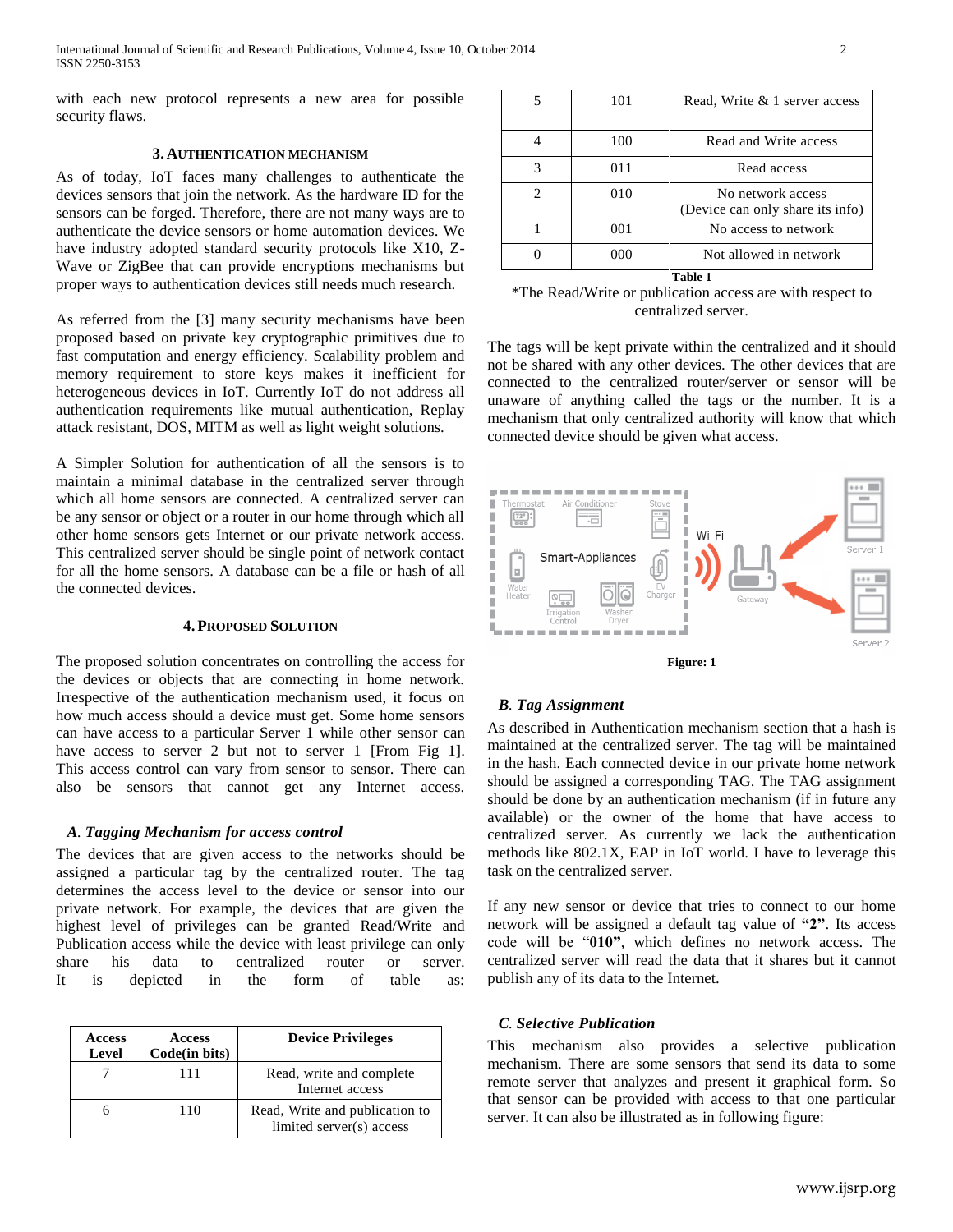with each new protocol represents a new area for possible security flaws.

## **3. AUTHENTICATION MECHANISM**

As of today, IoT faces many challenges to authenticate the devices sensors that join the network. As the hardware ID for the sensors can be forged. Therefore, there are not many ways are to authenticate the device sensors or home automation devices. We have industry adopted standard security protocols like X10, Z-Wave or ZigBee that can provide encryptions mechanisms but proper ways to authentication devices still needs much research.

As referred from the [3] many security mechanisms have been proposed based on private key cryptographic primitives due to fast computation and energy efficiency. Scalability problem and memory requirement to store keys makes it inefficient for heterogeneous devices in IoT. Currently IoT do not address all authentication requirements like mutual authentication, Replay attack resistant, DOS, MITM as well as light weight solutions.

A Simpler Solution for authentication of all the sensors is to maintain a minimal database in the centralized server through which all home sensors are connected. A centralized server can be any sensor or object or a router in our home through which all other home sensors gets Internet or our private network access. This centralized server should be single point of network contact for all the home sensors. A database can be a file or hash of all the connected devices.

## **4.PROPOSED SOLUTION**

The proposed solution concentrates on controlling the access for the devices or objects that are connecting in home network. Irrespective of the authentication mechanism used, it focus on how much access should a device must get. Some home sensors can have access to a particular Server 1 while other sensor can have access to server 2 but not to server 1 [From Fig 1]. This access control can vary from sensor to sensor. There can also be sensors that cannot get any Internet access.

## *A. Tagging Mechanism for access control*

The devices that are given access to the networks should be assigned a particular tag by the centralized router. The tag determines the access level to the device or sensor into our private network. For example, the devices that are given the highest level of privileges can be granted Read/Write and Publication access while the device with least privilege can only share his data to centralized router or server. It is depicted in the form of table as:

| <b>Access</b><br>Level | <b>Access</b><br>Code(in bits) | <b>Device Privileges</b>                                   |
|------------------------|--------------------------------|------------------------------------------------------------|
|                        | 111                            | Read, write and complete<br>Internet access                |
|                        | 110                            | Read, Write and publication to<br>limited server(s) access |

|         | 101 | Read, Write & 1 server access                         |  |  |
|---------|-----|-------------------------------------------------------|--|--|
|         | 100 | Read and Write access                                 |  |  |
| 3       | 011 | Read access                                           |  |  |
| 2       | 010 | No network access<br>(Device can only share its info) |  |  |
|         | 001 | No access to network                                  |  |  |
|         | 000 | Not allowed in network                                |  |  |
| Table 1 |     |                                                       |  |  |

\*The Read/Write or publication access are with respect to centralized server.

The tags will be kept private within the centralized and it should not be shared with any other devices. The other devices that are connected to the centralized router/server or sensor will be unaware of anything called the tags or the number. It is a mechanism that only centralized authority will know that which connected device should be given what access.





# *B. Tag Assignment*

As described in Authentication mechanism section that a hash is maintained at the centralized server. The tag will be maintained in the hash. Each connected device in our private home network should be assigned a corresponding TAG. The TAG assignment should be done by an authentication mechanism (if in future any available) or the owner of the home that have access to centralized server. As currently we lack the authentication methods like 802.1X, EAP in IoT world. I have to leverage this task on the centralized server.

If any new sensor or device that tries to connect to our home network will be assigned a default tag value of **"2"**. Its access code will be "**010"**, which defines no network access. The centralized server will read the data that it shares but it cannot publish any of its data to the Internet.

## *C. Selective Publication*

This mechanism also provides a selective publication mechanism. There are some sensors that send its data to some remote server that analyzes and present it graphical form. So that sensor can be provided with access to that one particular server. It can also be illustrated as in following figure: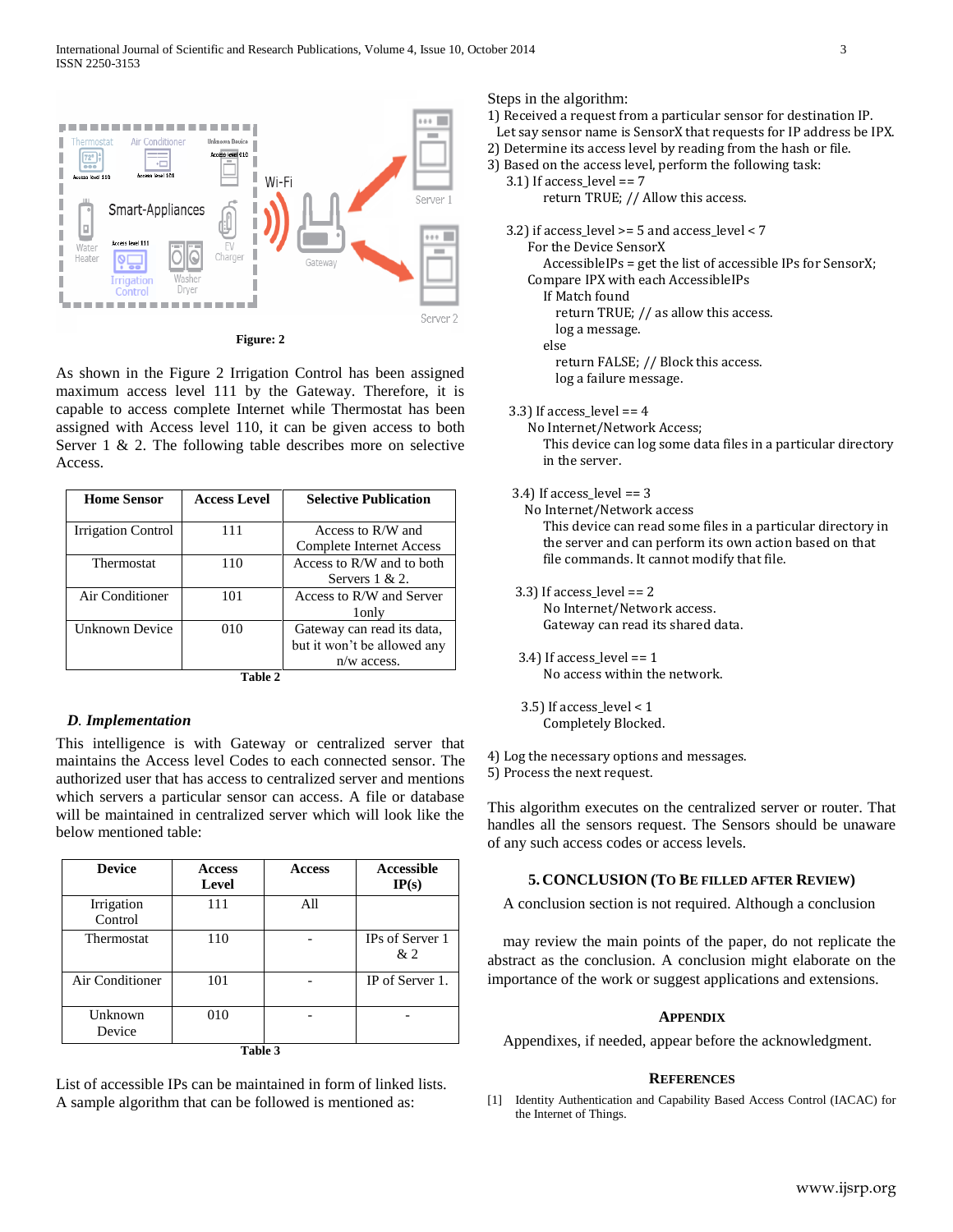

**Figure: 2**

As shown in the Figure 2 Irrigation Control has been assigned maximum access level 111 by the Gateway. Therefore, it is capable to access complete Internet while Thermostat has been assigned with Access level 110, it can be given access to both Server  $1 \& 2$ . The following table describes more on selective Access.

| <b>Home Sensor</b> | <b>Access Level</b> | <b>Selective Publication</b> |  |  |  |
|--------------------|---------------------|------------------------------|--|--|--|
|                    |                     |                              |  |  |  |
| Irrigation Control | 111                 | Access to R/W and            |  |  |  |
|                    |                     | Complete Internet Access     |  |  |  |
| <b>Thermostat</b>  | 110                 | Access to R/W and to both    |  |  |  |
|                    |                     | Servers $1 & 2$ .            |  |  |  |
| Air Conditioner    | 101                 | Access to R/W and Server     |  |  |  |
|                    |                     | 1 <sub>only</sub>            |  |  |  |
| Unknown Device     | 010                 | Gateway can read its data,   |  |  |  |
|                    |                     | but it won't be allowed any  |  |  |  |
|                    |                     | $n/w$ access.                |  |  |  |
| -- - -             |                     |                              |  |  |  |

**Table 2**

## *D. Implementation*

This intelligence is with Gateway or centralized server that maintains the Access level Codes to each connected sensor. The authorized user that has access to centralized server and mentions which servers a particular sensor can access. A file or database will be maintained in centralized server which will look like the below mentioned table:

| <b>Device</b>         | <b>Access</b><br>Level | <b>Access</b> | <b>Accessible</b><br>IP(s) |  |  |  |
|-----------------------|------------------------|---------------|----------------------------|--|--|--|
| Irrigation<br>Control | 111                    | All           |                            |  |  |  |
| Thermostat            | 110                    |               | IPs of Server 1<br>&2      |  |  |  |
| Air Conditioner       | 101                    |               | IP of Server 1.            |  |  |  |
| Unknown<br>Device     | 010                    |               |                            |  |  |  |
| Table 3               |                        |               |                            |  |  |  |

List of accessible IPs can be maintained in form of linked lists. A sample algorithm that can be followed is mentioned as:

Steps in the algorithm:

- 1) Received a request from a particular sensor for destination IP.
- Let say sensor name is SensorX that requests for IP address be IPX.
- 2) Determine its access level by reading from the hash or file.
- 3) Based on the access level, perform the following task:
	- 3.1) If access\_level == 7 return TRUE; // Allow this access.

 3.2) if access\_level >= 5 and access\_level < 7 For the Device SensorX AccessibleIPs = get the list of accessible IPs for SensorX; Compare IPX with each AccessibleIPs If Match found return TRUE; // as allow this access. log a message. else return FALSE; // Block this access. log a failure message.

3.3) If access\_level == 4

 No Internet/Network Access; This device can log some data files in a particular directory in the server.

3.4) If access\_level == 3

 No Internet/Network access This device can read some files in a particular directory in the server and can perform its own action based on that file commands. It cannot modify that file.

- 3.3) If access  $level == 2$  No Internet/Network access. Gateway can read its shared data.
- 3.4) If access\_level == 1 No access within the network.
- 3.5) If access  $level < 1$ Completely Blocked.
- 4) Log the necessary options and messages.
- 5) Process the next request.

This algorithm executes on the centralized server or router. That handles all the sensors request. The Sensors should be unaware of any such access codes or access levels.

## **5. CONCLUSION (TO BE FILLED AFTER REVIEW)**

A conclusion section is not required. Although a conclusion

may review the main points of the paper, do not replicate the abstract as the conclusion. A conclusion might elaborate on the importance of the work or suggest applications and extensions.

#### **APPENDIX**

Appendixes, if needed, appear before the acknowledgment.

#### **REFERENCES**

[1] Identity Authentication and Capability Based Access Control (IACAC) for the Internet of Things.